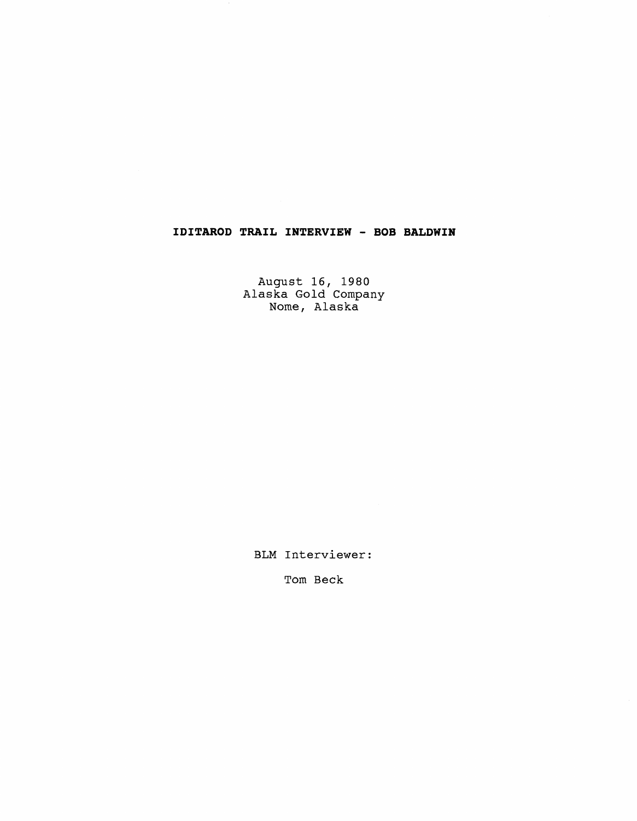## **IDITAROD TRAIL INTERVIEW** - **BOB BALDWIN**

August 16, 1980 Alaska Gold Company Nome, Alaska

BLM Interviewer:

Tom Beck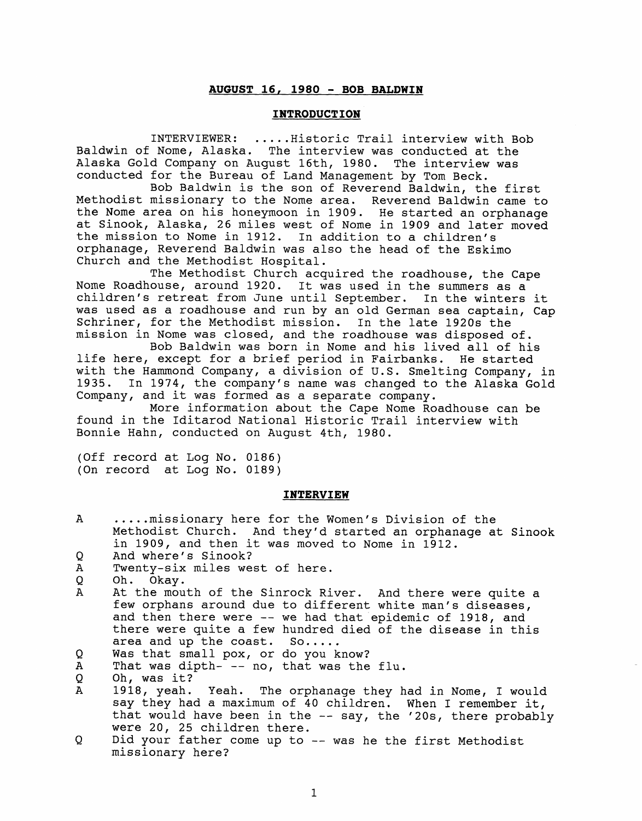## **AUGUST 16, 1980** - **BOB BALDWIN**

## **INTRODUCTION**

INTERVIEWER: ..... Historic Trail interview with Bob Baldwin of Nome, Alaska. The interview was conducted at the Alaska Gold Company on August 16th, 1980. The interview was conducted for the Bureau of Land Management by Tom Beck.

Bob Baldwin is the son of Reverend Baldwin, the first Methodist missionary to the Nome area. Reverend Baldwin came to the Nome area on his honeymoon in 1909. He started an orphanage at Sinook, Alaska, 26 miles west of Nome in 1909 and later moved the mission to Nome in 1912. In addition to a children's orphanage, Reverend Baldwin was also the head of the Eskimo Church and the Methodist Hospital.

The Methodist Church acquired the roadhouse, the Cape Nome Roadhouse, around 1920. It was used in the summers as a children's retreat from June until September. In the winters it was used as a roadhouse and run by an old German sea captain, Cap Schriner, for the Methodist mission. In the late 1920s the mission in Nome was closed, and the roadhouse was disposed of.

Bob Baldwin was born in Nome and his lived all of his life here, except for a brief period in Fairbanks. He started with the Hammond Company, a division of U.S. Smelting Company, in 1935. In 1974, the company's name was changed to the Alaska Gold Company, and it was formed as a separate company.

More information about the Cape Nome Roadhouse can be found in the Iditarod National Historic Trail interview with Bonnie Hahn, conducted on August 4th, 1980.

(Off record at Log No. 0186) (On record at Log No. 0189)

## **INTERVIEW**

| A | missionary here for the Women's Division of the             |
|---|-------------------------------------------------------------|
|   | Methodist Church. And they'd started an orphanage at Sinook |
|   | in 1909, and then it was moved to Nome in 1912.             |
|   |                                                             |

- Q And where's Sinook?
- $\boldsymbol{A}$ Twenty-six miles west of here.
- Q Oh. Okay.
- At the mouth of the Sinrock River. And there were quite a  $\mathbf{A}$ few orphans around due to different white man's diseases, and then there were -- we had that epidemic of 1918, and there were quite a few hundred died of the disease in this area and up the coast. So..... area and up the coast.
- Was that small pox, or do you know? Q

 $\overline{A}$ That was dipth- -- no, that was the flu.

- Yeah. The orphanage they had in Nome, I would  $\mathbf{A}$ say they had a maximum of 40 children. When I remember it, that would have been in the -- say, the '20s, there probably were 20, 25 children there.
- Did your father come up to -- was he the first Methodist Q missionary here?

 $\overline{O}$ Oh, was it?<br>1918, yeah.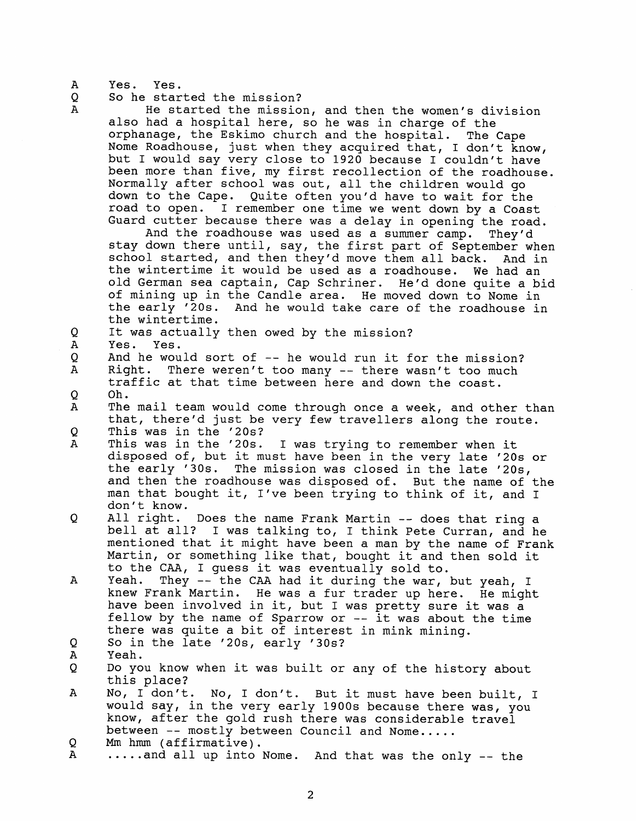A Yes. Yes.

 $\mathbf{A}$ 

So he started the mission? Q

> He started the mission, and then the women's division also had a hospital here, so he was in charge of the orphanage, the Eskimo church and the hospital. The Cape Nome Roadhouse, just when they acquired that, I don't know, but I would say very close to 1920 because I couldn't have been more than five, my first recollection of the roadhouse. Normally after school was out, all the children would go down to the Cape. Quite often you'd have to wait for the road to open. I remember one time we went down by a Coast Guard cutter because there was a delay in opening the road.

> And the roadhouse was used as a summer camp. They'd stay down there until, say, the first part of September when school started, and then they'd move them all back. And in the wintertime it would be used as a roadhouse. We had an old German sea captain, Cap Schriner. He'd done quite a bid of mining up in the Candle area. He moved down to Nome in the early '20s. And he would take care of the roadhouse in the wintertime.

- Q It was actually then owed by the mission?
- $\mathbf{A}$ Yes. Yes.
- $\overline{Q}$ And he would sort of -- he would run it for the mission?<br>Right. There weren't too many -- there wasn't too much
- $\mathbf{A}$ There weren't too many  $--$  there wasn't too much traffic at that time between here and down the coast. Oh. O
- Α The mail team would come through once a week, and other than that, there'd just be very few travellers along the route.
- This was in the '20s?<br>This was in the '20s. O
- $\mathbf{A}$ I was trying to remember when it disposed of, but it must have been in the very late '20s or the early '30s. The mission was closed in the late '206, and then the roadhouse was disposed of. But the name of the man that bought it, I've been trying to think of it, and I don't know.
- O. All right. Does the name Frank Martin -- does that ring a bell at all? I was talking to, I think Pete Curran, and he mentioned that it might have been a man by the name of Frank Martin, or something like that, bought it and then sold it
- to the CAA, I guess it was eventually sold to.<br>Yeah. They -- the CAA had it during the war.  $\mathbf{A}$ They -- the CAA had it during the war, but yeah, I knew Frank Martin. He was a fur trader up here. He might have been involved in it, but I was pretty sure it was a fellow by the name of Sparrow or -- it was about the time there was quite a bit of interest in mink mining.
- So in the late '20s, early '30s? Q
- $\mathbf{A}$ Yeah.
- Do you know when it was built or any of the history about Q this place?
- No, I don't. No, I don't. But it must have been built, I  $\mathbf{A}$ would say, in the very early 1900s because there was, you know, after the gold rush there was considerable travel between -- mostly between Council and Nome.....<br>Mm hmm (affirmative).
- Q
- .....and all up into Nome. And that was the only -- the A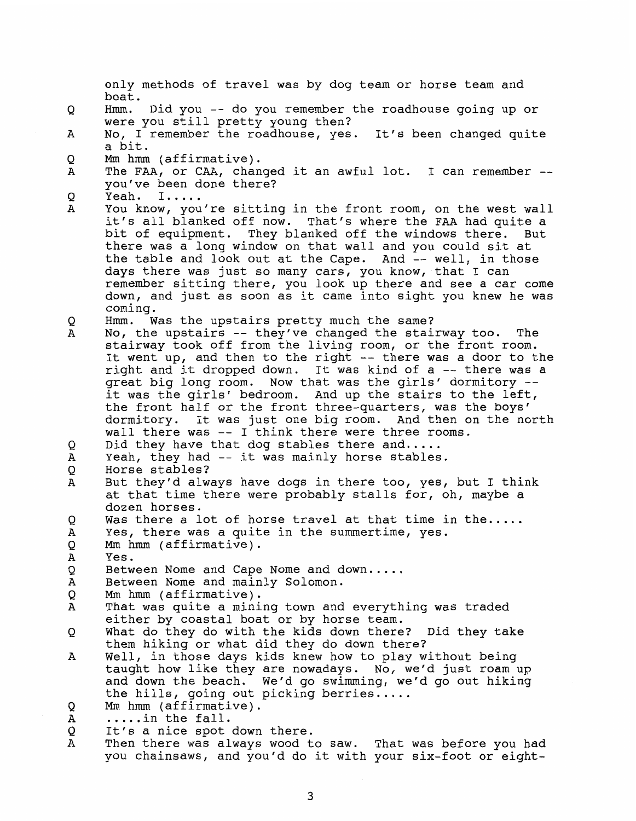only methods of travel was by dog team or horse team and boat. Hmm. Did you -- do you remember the roadhouse going up or Q were you still pretty young then? No, I remember the roadhouse, yes. It's been changed quite A a bit. Mm hmm (affirmative). Q The FAA, or CAA, changed it an awful lot. I can remember --<br>you've been done there? Α Q Yeah. I.....  $\mathbf{A}$ You know, you're sitting in the front room, on the west wall it's all blanked off now. That's where the FAA had quite a bit of equipment. They blanked off the windows there. But there was a long window on that wall and you could sit at the table and look out at the Cape. And -- well, in those days there was just so many cars, you know, that I can remember sitting there, you look up there and see a car come down, and just as soon as it came into sight you knew he was coming. Hmm. Was the upstairs pretty much the same? Q No, the upstairs -- they've changed the stairway too. The  $\mathbf{A}$ stairway took off from the living room, or the front room. It went up, and then to the right -- there was a door to the right and it dropped down. It was kind of a -- there was a great big long room. Now that was the girls' dormitory -- it was the girls' bedroom. And up the stairs to the left, the front half or the front three-quarters, was the boys' dormitory. It was just one big room. And then on the north wall there was -- I think there were three rooms. Did they have that dog stables there and.....<br>Yeah, they had  $-$  it was mainly horse stables. Q A Horse stables? Q  $\mathbf{A}$ But they'd always have dogs in there too, yes, but I think at that time there were probably stalls for, oh, maybe a dozen horses. Q Was there a lot of horse travel at that time in the.....<br>Yes, there was a quite in the summertime, yes.  $\mathbf{A}$ Q **Mm** hmm (affirmative). Α Yes. Between Nome and Cape Nome and down. .... Between Nome and mainly Solomon. Q Α  $\mathsf{O}$ Mm hmm (affirmative). That was quite a mining town and everything was traded Α either by coastal boat or by horse team. What do they do with the kids down there? Did they take Q them hiking or what did they do down there? Well, in those days kids knew how to play without being  $\mathbf{A}$ taught how like they are nowadays. No, we'd just roam up and down the beach. We'd go swimming, we'd go out hiking the hills, going out picking berries.....<br>Mm hmm (affirmative).<br>....in the fall. Q Α Q It's a nice spot down there. A Then there was always wood to saw. That was before you had you chainsaws, and you'd do it with your six-foot or eight-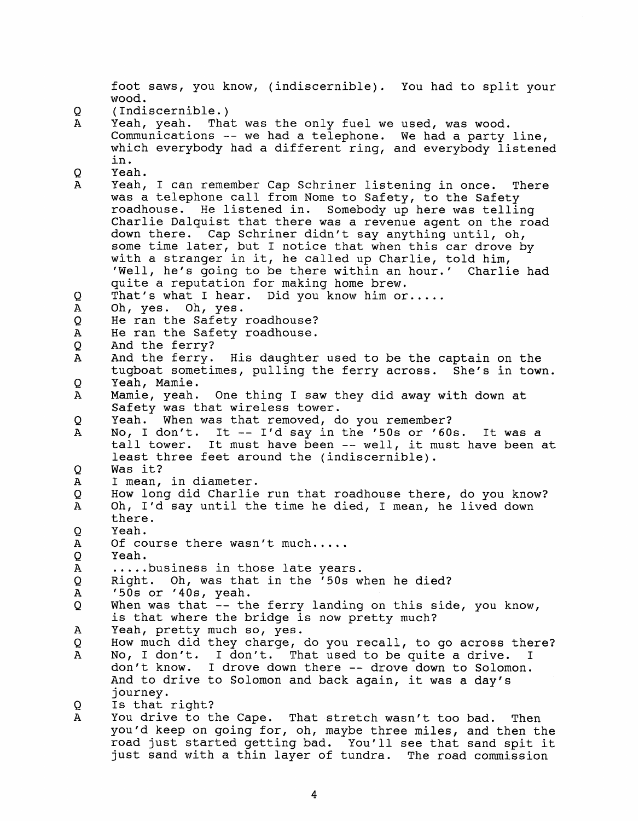foot saws, you know, (indiscernible). You had to split your wood. Q (Indiscernible.) Yeah, yeah. That was the only fuel we used, was wood.  $\Delta$ Communications -- we had a telephone. We had a party line, which everybody had a different ring, and everybody listened in. Yeah. 0  $\mathbf{A}$ Yeah, I can remember Cap Schriner listening in once. There was a telephone call from Nome to Safety, to the Safety roadhouse. He listened in. Somebody up here was telling Charlie Dalquist that there was a revenue agent on the road down there. Cap Schriner didn't say anything until, oh, some time later, but I notice that when this car drove by with a stranger in it, he called up Charlie, told him, 'Well, he's going to be there within an hour.' Charlie had quite a reputation for making home brew. That's what I hear. Did you know him or.....<br>Oh, yes. Oh, yes. Q  $\overline{A}$ Oh, yes. He ran the Safety roadhouse?  $\overline{O}$  $\mathbf{A}$ He ran the Safety roadhouse.  $\overline{Q}$ And the ferry?  $\overline{A}$ And the ferry. His daughter used to be the captain on the tugboat sometimes, pulling the ferry across. She's in town.  $\overline{O}$ Yeah, Mamie. Mamie, yeah. One thing I saw they did away with down at  $\mathbf{A}$ Safety was that wireless tower. Q Yeah. When was that removed, do you remember? No, I don't. It -- I'd say in the '50s or '60s. It was a  $\mathbf{A}$ tall tower. It must have been -- well, it must have been at least three feet around the (indiscernible).  $\circ$ Was it? I mean, in diameter.  $\overline{A}$ Q How long did Charlie run that roadhouse there, do you know?  $\mathbf{A}$ Oh, I'd say until the time he died, I mean, he lived down there. O Yeah. Of course there wasn't much.....  $\overline{A}$  $\overline{O}$ Yeah. ..... business in those late years.  $\mathbf{A}$ Right. Oh, was that in the '50s when he died? Q  $\mathbf{A}$ '50s or '40s, yeah. Q When was that -- the ferry landing on this side, you know, is that where the bridge is now pretty much?  $\mathbf{A}$ Yeah, pretty much so, yes. How much did they charge, do you recall, to go across there? O  $\mathbf{A}$ No, I don't. I don't. That used to be quite a drive. I don't know. I drove down there -- drove down to Solomon. And to drive to Solomon and back again, it was a **day's**  Is that right? Q A You drive to the Cape. That stretch wasn't too bad. Then you'd keep on going for, oh, maybe three miles, and then the road just started getting bad. You'll see that sand spit it

just sand with a thin layer of tundra. The road commission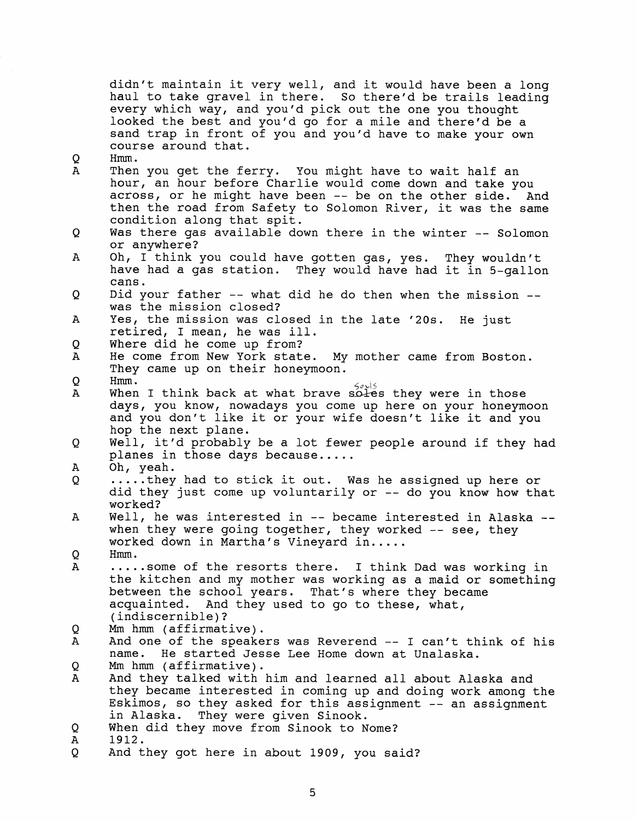didn't maintain it very well, and it would have been a long haul to take gravel in there. So there'd be trails leading every which way, and you'd pick out the one you thought looked the best and you'd go for a mile and there'd be a sand trap in front of you and you'd have to make your own course around that.  $\circ$ Hmm.<br>Then you get the ferry. You might have to wait half an  $\overline{A}$ hour, an hour before Charlie would come down and take you across, or he might have been -- be on the other side. And then the road from Safety to Solomon River, it was the same condition along that spit. Q Was there gas available down there in the winter -- Solomon or anywhere? Oh, I think you could have gotten gas, yes. They wouldn't  $\mathbf{A}$ have had a gas station. They would have had it in 5-gallon cans.  $\circ$ Did your father -- what did he do then when the mission - was the mission closed? A Yes, the mission was closed in the late '20s. He just retired, I mean, he was ill. Where did he come up from?  $\mathsf{O}$ He come from New York state. My mother came from Boston.  $\overline{A}$ They came up on their honeymoon.  $\Omega$ Hmm.<br>When I think back at what brave soles they were in those  $\mathbf{A}$ days, you know, nowadays you come up here on your honeymoon and you don't like it or your wife doesn't like it and you hop the next plane. Well, it'd probably be a lot fewer people around if they had Q planes in those days because.....<br>Oh, yeah.<br>.....they had to stick it out. Was he assigned up here or. Α  $\overline{O}$ did they just come up voluntarily or -- do you know how that worked? Well, he was interested in  $-$  became interested in Alaska  $-$ - when they were going together, they worked  $-$  see, they  $\mathbf{A}$ worked down in Martha's Vineyard in.....<br>Hmm. Q. ..... some of the resorts there. I think Dad was working in  $\mathbf{A}$ the kitchen and my mother was working as a maid or something between the school years. That's where they became acquainted. And they used to go to these, what, (indiscernible)? O Mm hmm (affirmative). A And one of the speakers was Reverend -- I can't think of his name. He started Jesse Lee Home down at Unalaska. He started Jesse Lee Home down at Unalaska. Q Mm hmm (affirmative).  $\mathbf{A}$ And they talked with him and learned all about Alaska and they became interested in coming up and doing work among the Eskimos, so they asked for this assignment -- an assignment in Alaska. They were given Sinook.  $\circ$ When did they move from Sinook to Nome?  $\mathsf{A}$ 1912.  $\circ$ And they got here in about 1909, you said?